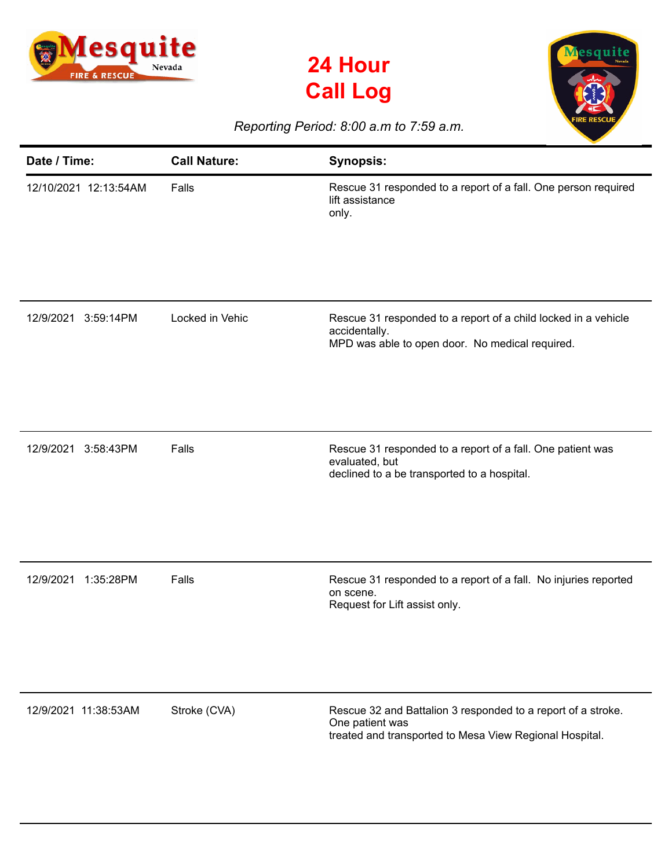





## *Reporting Period: 8:00 a.m to 7:59 a.m.*

| Date / Time:           | <b>Call Nature:</b> | <b>Synopsis:</b>                                                                                                                           |
|------------------------|---------------------|--------------------------------------------------------------------------------------------------------------------------------------------|
| 12/10/2021 12:13:54AM  | Falls               | Rescue 31 responded to a report of a fall. One person required<br>lift assistance<br>only.                                                 |
| 12/9/2021<br>3:59:14PM | Locked in Vehic     | Rescue 31 responded to a report of a child locked in a vehicle<br>accidentally.<br>MPD was able to open door. No medical required.         |
| 12/9/2021<br>3:58:43PM | Falls               | Rescue 31 responded to a report of a fall. One patient was<br>evaluated, but<br>declined to a be transported to a hospital.                |
| 12/9/2021<br>1:35:28PM | Falls               | Rescue 31 responded to a report of a fall. No injuries reported<br>on scene.<br>Request for Lift assist only.                              |
| 12/9/2021 11:38:53AM   | Stroke (CVA)        | Rescue 32 and Battalion 3 responded to a report of a stroke.<br>One patient was<br>treated and transported to Mesa View Regional Hospital. |